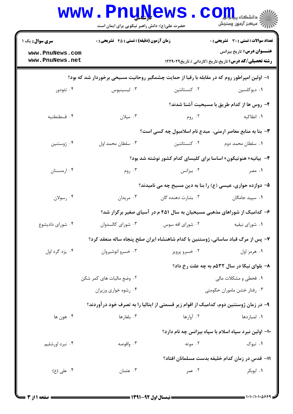|                                    | <b>www.PnuNews</b><br>حضرت علی(ع): دانش راهبر نیکویی برای ایمان است                          |                    | $\text{C}$ QIII<br>رِ ۖ مرڪز آزمون وسنڊش                                                            |
|------------------------------------|----------------------------------------------------------------------------------------------|--------------------|-----------------------------------------------------------------------------------------------------|
| <b>سری سوال :</b> یک ۱             | <b>زمان آزمون (دقیقه) : تستی : 45 تشریحی : 0</b>                                             |                    | تعداد سوالات : تستي : 30 ٪ تشريحي : 0                                                               |
| www.PnuNews.com<br>www.PnuNews.net |                                                                                              |                    | <b>عنـــوان درس:</b> تاریخ بیزانس<br><b>رشته تحصیلی/کد درس:</b> تاریخ،تاریخ (کاردانی )،تاریخ۱۲۲۹۰۲۹ |
|                                    | ا– اولین امپراطور روم که در مقابله با رقبا از حمایت چشمگیر روحانیت مسیحی برخوردار شد که بود؟ |                    |                                                                                                     |
| ۰۴ تئودور                          | ۰۳ ليسينيوس                                                                                  | ۰۲ کنستانتین       | ۰۱ دیوکلسین                                                                                         |
|                                    |                                                                                              |                    | ۲- روس ها از کدام طریق با مسیحیت آشنا شدند؟                                                         |
| ۰۴ قسطنطنيه                        | ۰۳ میلان                                                                                     | ۰۲ روم             | ۰۱ انطاکیه                                                                                          |
|                                    |                                                                                              |                    | ۳- بنا به منابع معاصر ارمنی، مبدع نام اسلامبول چه کسی است؟                                          |
| ۰۴ ژوستنين                         | ۰۳ سلطان محمد اول                                                                            | ۰۲ کنستانتین       | ۰۱ سلطان محمد دوم                                                                                   |
|                                    |                                                                                              |                    | ۴- بیانیه« هنوتیکون» اساسا برای کلیسای کدام کشور نوشته شد بود؟                                      |
| ۰۴ ارمنستان                        | ۰۳ روم                                                                                       | ۰۲ بیزانس          | ۰۱ مصر                                                                                              |
|                                    |                                                                                              |                    | ۵- دوازده حواری، عیسی (ع) را بنا به دین مسیح چه می نامیدند؟                                         |
| ۰۴ رسولان                          | ۰۳ مریدان                                                                                    | ۰۲ بشارت دهنده گان | ۰۱ سپید جامگان                                                                                      |
|                                    |                                                                                              |                    | ۶– کدامیک از شوراهای مذهبی مسیحیان به سال ۴۵۱ م در آسیای صغیر برگزار شد؟                            |
| ۰۴ شورای دادیشوع                   | ۰۳ شورای کالسدوان                                                                            | ۰۲ شورای افه سوس   | ۰۱ شورای نیقیه                                                                                      |
|                                    | ۷- پس از مرگ قباد ساسانی، ژوستنین با کدام شاهنشاه ایران صلح پنجاه ساله منعقد کرد؟            |                    |                                                                                                     |
| ۰۴ يزد گرد اول                     | ۰۳ خسرو انوشيروان                                                                            | ۰۲ خسرو پرویز      | ۰۱ هرمز اول                                                                                         |
|                                    |                                                                                              |                    | ۸- بلوای نیکا در سال ۵۳۲م به چه علت رخ داد؟                                                         |
|                                    | ۰۲ وضع مالیات های کمر شکن                                                                    |                    | ۰۱ قحطی و مشکلات مالی                                                                               |
|                                    | ۰۴ رشوه خواری وزیران                                                                         |                    | ۰۳ رفتار خشن ماموران حکومتی                                                                         |
|                                    | ۹– در زمان ژوستنین دوم، کدامیک از اقوام زیر قسمتی از ایتالیا را به تصرف خود در آوردند؟       |                    |                                                                                                     |
| ۰۴ هون ها                          | ۰۳ بلغارها                                                                                   | ۰۲ آوارها          | ۰۱ لمباردها                                                                                         |
|                                    |                                                                                              |                    | ۱۰– اولین نبرد سپاه اسلام با سپاه بیزانس چه نام دارد؟                                               |
| ۰۴ نبرد اورشلیم                    | ۰۳ واقوصه                                                                                    | ۰۲ موته            | ۰۱ تبوک                                                                                             |
|                                    |                                                                                              |                    | 11– قدس در زمان كدام خليفه بدست مسلمانان افتاد؟                                                     |
| ۰۴ علی (ع)                         | ۰۳ عثمان                                                                                     | ۰۲ عمر             | ۰۱ ابوبکر                                                                                           |
|                                    |                                                                                              |                    |                                                                                                     |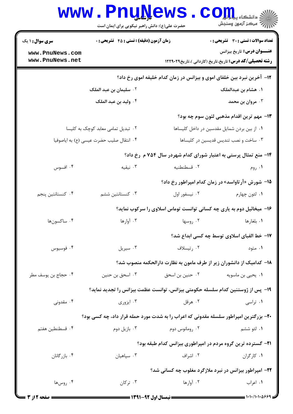|                                                                                |                | اللہ دانشگاہ پیام ہوں<br>اللہ = انشگاہ پیام ہوں                                                                                                                                                                                                                                                                                                                                                                                                                                                                                                                                                                                     |  |  |  |
|--------------------------------------------------------------------------------|----------------|-------------------------------------------------------------------------------------------------------------------------------------------------------------------------------------------------------------------------------------------------------------------------------------------------------------------------------------------------------------------------------------------------------------------------------------------------------------------------------------------------------------------------------------------------------------------------------------------------------------------------------------|--|--|--|
|                                                                                |                |                                                                                                                                                                                                                                                                                                                                                                                                                                                                                                                                                                                                                                     |  |  |  |
|                                                                                |                | <b>تعداد سوالات : تستی : 30 ٪ تشریحی : 0</b>                                                                                                                                                                                                                                                                                                                                                                                                                                                                                                                                                                                        |  |  |  |
|                                                                                |                | <b>عنـــوان درس:</b> تاریخ بیزانس<br><b>رشته تحصیلی/کد درس:</b> تاریخ،تاریخ (کاردانی )،تاریخ۱۲۲۹۰۲۹                                                                                                                                                                                                                                                                                                                                                                                                                                                                                                                                 |  |  |  |
| <b>۱۲</b> - آخرین نبرد بین خلفای اموی و بیزانس در زمان کدام خلیفه اموی رخ داد؟ |                |                                                                                                                                                                                                                                                                                                                                                                                                                                                                                                                                                                                                                                     |  |  |  |
| ۰۲ سلیمان بن عبد الملک                                                         |                | ۰۱ هشام بن عبدالملک                                                                                                                                                                                                                                                                                                                                                                                                                                                                                                                                                                                                                 |  |  |  |
| ۰۴ وليد بن عبد الملک                                                           |                | ۰۳ مروان بن محمد                                                                                                                                                                                                                                                                                                                                                                                                                                                                                                                                                                                                                    |  |  |  |
|                                                                                |                | ۱۳- مهم ترین اقدام مذهبی لئون سوم چه بود؟                                                                                                                                                                                                                                                                                                                                                                                                                                                                                                                                                                                           |  |  |  |
| ۰۲ تبدیل تمامی معابد کوچک به کلیسا                                             |                | ٠١ از بين بردن شمايل مقدسين در داخل كليساها                                                                                                                                                                                                                                                                                                                                                                                                                                                                                                                                                                                         |  |  |  |
| ۰۴ انتقال صليب حضرت عيسى (ع) به اياصوفيا                                       |                | ۰۳ ساخت و نصب تندیس قدیسین در کلیساها                                                                                                                                                                                                                                                                                                                                                                                                                                                                                                                                                                                               |  |  |  |
|                                                                                |                |                                                                                                                                                                                                                                                                                                                                                                                                                                                                                                                                                                                                                                     |  |  |  |
| ۰۳ نیقیه                                                                       | ۰۲ قسطنطنیه    | ۰۱ روم                                                                                                                                                                                                                                                                                                                                                                                                                                                                                                                                                                                                                              |  |  |  |
|                                                                                |                | ۱۵- شورش «آرتاواسد» در زمان کدام امپراطور رخ داد؟                                                                                                                                                                                                                                                                                                                                                                                                                                                                                                                                                                                   |  |  |  |
| ۰۳ کنستانتین ششم                                                               | ۰۲ نیسفور اول  | ۰۱ لئون چهارم                                                                                                                                                                                                                                                                                                                                                                                                                                                                                                                                                                                                                       |  |  |  |
|                                                                                |                |                                                                                                                                                                                                                                                                                                                                                                                                                                                                                                                                                                                                                                     |  |  |  |
| ۰۳ آوارها                                                                      | ۰۲ روسها       | ۰۱ بلغارها                                                                                                                                                                                                                                                                                                                                                                                                                                                                                                                                                                                                                          |  |  |  |
|                                                                                |                | ۱۷- خط الفبای اسلاوی توسط چه کسی ابداع شد؟                                                                                                                                                                                                                                                                                                                                                                                                                                                                                                                                                                                          |  |  |  |
| ۰۳ سیریل                                                                       | ۰۲ رتيسلاف     | ۰۱ متود                                                                                                                                                                                                                                                                                                                                                                                                                                                                                                                                                                                                                             |  |  |  |
|                                                                                |                |                                                                                                                                                                                                                                                                                                                                                                                                                                                                                                                                                                                                                                     |  |  |  |
| ۰۳ اسحق بن حنين                                                                |                |                                                                                                                                                                                                                                                                                                                                                                                                                                                                                                                                                                                                                                     |  |  |  |
|                                                                                |                |                                                                                                                                                                                                                                                                                                                                                                                                                                                                                                                                                                                                                                     |  |  |  |
| ۰۳ ایزوری                                                                      | ۰۲ هرقل        | ۰۱ تراسی                                                                                                                                                                                                                                                                                                                                                                                                                                                                                                                                                                                                                            |  |  |  |
|                                                                                |                |                                                                                                                                                                                                                                                                                                                                                                                                                                                                                                                                                                                                                                     |  |  |  |
| ۰۳ بازیل دوم                                                                   | ۰۲ رومانوس دوم | ۱. لئو ششم                                                                                                                                                                                                                                                                                                                                                                                                                                                                                                                                                                                                                          |  |  |  |
|                                                                                |                |                                                                                                                                                                                                                                                                                                                                                                                                                                                                                                                                                                                                                                     |  |  |  |
| ۰۳ سپاهيان                                                                     | ۰۲ اشراف       | ۰۱ کارگران                                                                                                                                                                                                                                                                                                                                                                                                                                                                                                                                                                                                                          |  |  |  |
|                                                                                |                |                                                                                                                                                                                                                                                                                                                                                                                                                                                                                                                                                                                                                                     |  |  |  |
| ۰۳ ترکان                                                                       | ۰۲ آوارها      | ۰۱ اعراب                                                                                                                                                                                                                                                                                                                                                                                                                                                                                                                                                                                                                            |  |  |  |
|                                                                                |                | www.PnuNews<br>حضرت علی(ع): دانش راهبر نیکویی برای ایمان است<br>زمان آزمون (دقیقه) : تستی : 45 آتشریحی : 0<br>۱۴- منع تمثال پرستی به اعتبار شورای کدام شهردر سال ۷۵۴ م رخ داد؟<br>۱۶- میخائیل دوم به یاری چه کسانی توانست توماس اسلاوی را سرکوب نماید؟<br>۱۸– کدامیک از دانشوران زیر از طرف مامون به نظارت دارالحکمه منصوب شد؟<br>۱۹- پس از ژوستنین کدام سلسله حکومتی بیزانس، توانست عظمت بیزانس را تجدید نماید؟<br>۲۰- بزرگترین امپراطور سلسله مقدونی که اعراب را به شدت مورد حمله قرار داد، چه کسی بود؟<br>۲۱- گسترده ترین گروه مردم در امپراطوری بیزانس کدام طبقه بود؟<br>۲۲- امپراطور بیزانس در نبرد ملازگرد مغلوب چه کسانی شد؟ |  |  |  |